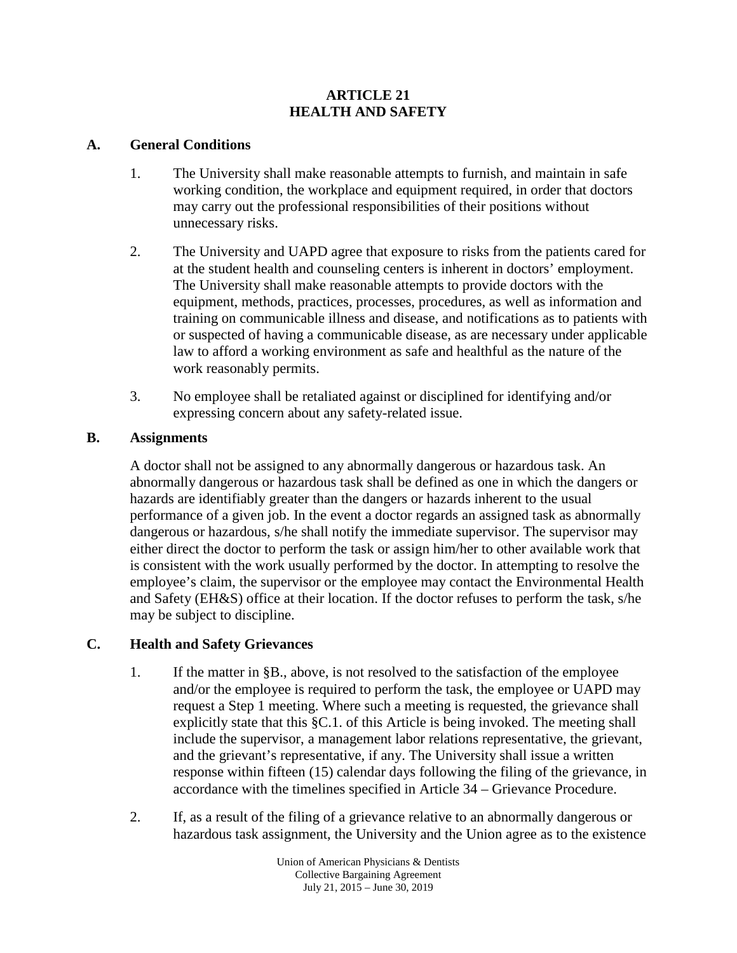## **ARTICLE 21 HEALTH AND SAFETY**

## **A. General Conditions**

- 1. The University shall make reasonable attempts to furnish, and maintain in safe working condition, the workplace and equipment required, in order that doctors may carry out the professional responsibilities of their positions without unnecessary risks.
- 2. The University and UAPD agree that exposure to risks from the patients cared for at the student health and counseling centers is inherent in doctors' employment. The University shall make reasonable attempts to provide doctors with the equipment, methods, practices, processes, procedures, as well as information and training on communicable illness and disease, and notifications as to patients with or suspected of having a communicable disease, as are necessary under applicable law to afford a working environment as safe and healthful as the nature of the work reasonably permits.
- 3. No employee shall be retaliated against or disciplined for identifying and/or expressing concern about any safety-related issue.

## **B. Assignments**

A doctor shall not be assigned to any abnormally dangerous or hazardous task. An abnormally dangerous or hazardous task shall be defined as one in which the dangers or hazards are identifiably greater than the dangers or hazards inherent to the usual performance of a given job. In the event a doctor regards an assigned task as abnormally dangerous or hazardous, s/he shall notify the immediate supervisor. The supervisor may either direct the doctor to perform the task or assign him/her to other available work that is consistent with the work usually performed by the doctor. In attempting to resolve the employee's claim, the supervisor or the employee may contact the Environmental Health and Safety (EH&S) office at their location. If the doctor refuses to perform the task, s/he may be subject to discipline.

# **C. Health and Safety Grievances**

- 1. If the matter in §B., above, is not resolved to the satisfaction of the employee and/or the employee is required to perform the task, the employee or UAPD may request a Step 1 meeting. Where such a meeting is requested, the grievance shall explicitly state that this §C.1. of this Article is being invoked. The meeting shall include the supervisor, a management labor relations representative, the grievant, and the grievant's representative, if any. The University shall issue a written response within fifteen (15) calendar days following the filing of the grievance, in accordance with the timelines specified in Article 34 – Grievance Procedure.
- 2. If, as a result of the filing of a grievance relative to an abnormally dangerous or hazardous task assignment, the University and the Union agree as to the existence